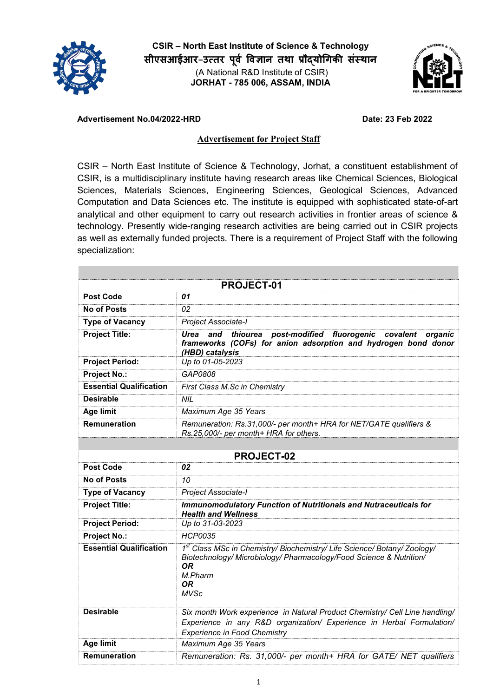

CSIR – North East Institute of Science & Technology सीएसआईआर–उत्तर पूर्व विज्ञान तथा प्रौद्योगिकी संस्थान **(A National R&D Institute of CSIR)** JORHAT - 785 006, ASSAM, INDIA



## Advertisement No.04/2022-HRD Date: 23 Feb 2022

## Advertisement for Project Staff

**CSIR – North East Institute of Science & Technology, Jorhat, a constituent establishment of CSIR, is a multidisciplinary institute having research areas like Chemical Sciences, Biological Sciences, Materials Sciences, Engineering Sciences, Geological Sciences, Advanced Computation and Data Sciences etc. The institute is equipped with sophisticated state-of-art analytical and other equipment to carry out research activities in frontier areas of science & technology. Presently wide-ranging research activities are being carried out in CSIR projects as well as externally funded projects. There is a requirement of Project Staff with the following specialization:**

| <b>PROJECT-01</b>              |                                                                                                                                                                                             |  |
|--------------------------------|---------------------------------------------------------------------------------------------------------------------------------------------------------------------------------------------|--|
| <b>Post Code</b>               | 01                                                                                                                                                                                          |  |
| <b>No of Posts</b>             | 02                                                                                                                                                                                          |  |
| <b>Type of Vacancy</b>         | Project Associate-I                                                                                                                                                                         |  |
| <b>Project Title:</b>          | and<br>post-modified<br>fluorogenic<br>Urea<br>thiourea<br>covalent<br>organic<br>frameworks (COFs) for anion adsorption and hydrogen bond donor<br>(HBD) catalysis                         |  |
| <b>Project Period:</b>         | Up to 01-05-2023                                                                                                                                                                            |  |
| <b>Project No.:</b>            | GAP0808                                                                                                                                                                                     |  |
| <b>Essential Qualification</b> | First Class M.Sc in Chemistry                                                                                                                                                               |  |
| <b>Desirable</b>               | <b>NIL</b>                                                                                                                                                                                  |  |
| Age limit                      | Maximum Age 35 Years                                                                                                                                                                        |  |
| Remuneration                   | Remuneration: Rs.31,000/- per month+ HRA for NET/GATE qualifiers &<br>Rs.25,000/- per month+ HRA for others.                                                                                |  |
|                                |                                                                                                                                                                                             |  |
| <b>PROJECT-02</b>              |                                                                                                                                                                                             |  |
| <b>Post Code</b>               | 02                                                                                                                                                                                          |  |
| <b>No of Posts</b>             | 10                                                                                                                                                                                          |  |
| <b>Type of Vacancy</b>         | Project Associate-I                                                                                                                                                                         |  |
| <b>Project Title:</b>          | <b>Immunomodulatory Function of Nutritionals and Nutraceuticals for</b><br><b>Health and Wellness</b>                                                                                       |  |
| <b>Project Period:</b>         | Up to 31-03-2023                                                                                                                                                                            |  |
| <b>Project No.:</b>            | <b>HCP0035</b>                                                                                                                                                                              |  |
| <b>Essential Qualification</b> | 1st Class MSc in Chemistry/ Biochemistry/ Life Science/ Botany/ Zoology/<br>Biotechnology/ Microbiology/ Pharmacology/Food Science & Nutrition/<br>OR.<br>M Pharm<br>0R<br><b>MVSc</b>      |  |
| <b>Desirable</b>               | Six month Work experience in Natural Product Chemistry/ Cell Line handling/<br>Experience in any R&D organization/ Experience in Herbal Formulation/<br><b>Experience in Food Chemistry</b> |  |
| <b>Age limit</b>               | Maximum Age 35 Years                                                                                                                                                                        |  |
| <b>Remuneration</b>            | Remuneration: Rs. 31,000/- per month+ HRA for GATE/ NET qualifiers                                                                                                                          |  |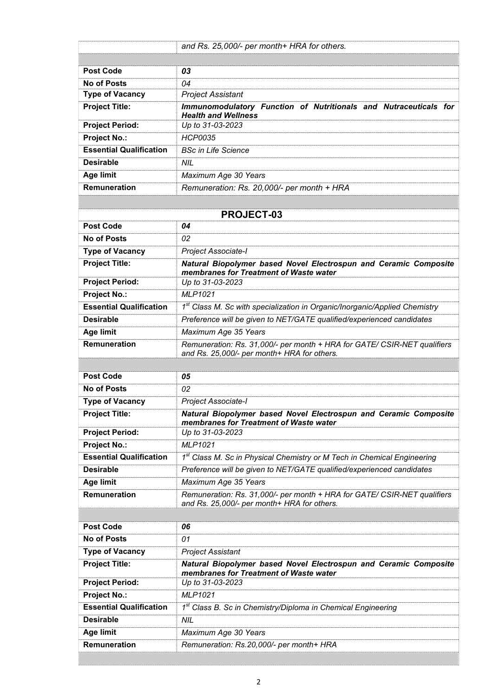|                                | and Rs. 25,000/- per month+ HRA for others.                                                                             |  |
|--------------------------------|-------------------------------------------------------------------------------------------------------------------------|--|
|                                |                                                                                                                         |  |
| <b>Post Code</b>               | 03                                                                                                                      |  |
| <b>No of Posts</b>             | 04                                                                                                                      |  |
| <b>Type of Vacancy</b>         | <b>Project Assistant</b>                                                                                                |  |
| <b>Project Title:</b>          | Immunomodulatory Function of Nutritionals and Nutraceuticals for<br><b>Health and Wellness</b>                          |  |
| <b>Project Period:</b>         | Up to 31-03-2023                                                                                                        |  |
| <b>Project No.:</b>            | <b>HCP0035</b>                                                                                                          |  |
| <b>Essential Qualification</b> | <b>BSc in Life Science</b>                                                                                              |  |
| <b>Desirable</b>               | <b>NIL</b>                                                                                                              |  |
| Age limit                      | Maximum Age 30 Years                                                                                                    |  |
| Remuneration                   | Remuneration: Rs. 20,000/- per month + HRA                                                                              |  |
|                                |                                                                                                                         |  |
| <b>PROJECT-03</b>              |                                                                                                                         |  |
| <b>Post Code</b>               | 04                                                                                                                      |  |
| <b>No of Posts</b>             | 02                                                                                                                      |  |
| <b>Type of Vacancy</b>         | <b>Project Associate-I</b>                                                                                              |  |
| <b>Project Title:</b>          | Natural Biopolymer based Novel Electrospun and Ceramic Composite<br>membranes for Treatment of Waste water              |  |
| <b>Project Period:</b>         | Up to 31-03-2023                                                                                                        |  |
| <b>Project No.:</b>            | <b>MLP1021</b>                                                                                                          |  |
| <b>Essential Qualification</b> | 1 <sup>st</sup> Class M. Sc with specialization in Organic/Inorganic/Applied Chemistry                                  |  |
| <b>Desirable</b>               | Preference will be given to NET/GATE qualified/experienced candidates                                                   |  |
| <b>Age limit</b>               | Maximum Age 35 Years                                                                                                    |  |
| Remuneration                   | Remuneration: Rs. 31,000/- per month + HRA for GATE/ CSIR-NET qualifiers                                                |  |
|                                | and Rs. 25,000/- per month+ HRA for others.                                                                             |  |
| <b>Post Code</b>               | 05                                                                                                                      |  |
| <b>No of Posts</b>             | 02                                                                                                                      |  |
| <b>Type of Vacancy</b>         | Project Associate-I                                                                                                     |  |
| <b>Project Title:</b>          | Natural Biopolymer based Novel Electrospun and Ceramic Composite                                                        |  |
|                                | membranes for Treatment of Waste water                                                                                  |  |
| <b>Project Period:</b>         | Up to 31-03-2023                                                                                                        |  |
| <b>Project No.:</b>            | <b>MLP1021</b>                                                                                                          |  |
| <b>Essential Qualification</b> | 1st Class M. Sc in Physical Chemistry or M Tech in Chemical Engineering                                                 |  |
| <b>Desirable</b>               | Preference will be given to NET/GATE qualified/experienced candidates                                                   |  |
| <b>Age limit</b>               | Maximum Age 35 Years                                                                                                    |  |
| <b>Remuneration</b>            | Remuneration: Rs. 31,000/- per month + HRA for GATE/ CSIR-NET qualifiers<br>and Rs. 25,000/- per month+ HRA for others. |  |
|                                |                                                                                                                         |  |
| <b>Post Code</b>               | 06                                                                                                                      |  |
| <b>No of Posts</b>             | 01                                                                                                                      |  |
| <b>Type of Vacancy</b>         | <b>Project Assistant</b>                                                                                                |  |
| <b>Project Title:</b>          | Natural Biopolymer based Novel Electrospun and Ceramic Composite<br>membranes for Treatment of Waste water              |  |
| <b>Project Period:</b>         | Up to 31-03-2023                                                                                                        |  |
| <b>Project No.:</b>            | <b>MLP1021</b>                                                                                                          |  |
| <b>Essential Qualification</b> | 1st Class B. Sc in Chemistry/Diploma in Chemical Engineering                                                            |  |
| <b>Desirable</b>               | <b>NIL</b>                                                                                                              |  |
| <b>Age limit</b>               | Maximum Age 30 Years                                                                                                    |  |
| Remuneration                   | Remuneration: Rs.20,000/- per month+ HRA                                                                                |  |
|                                |                                                                                                                         |  |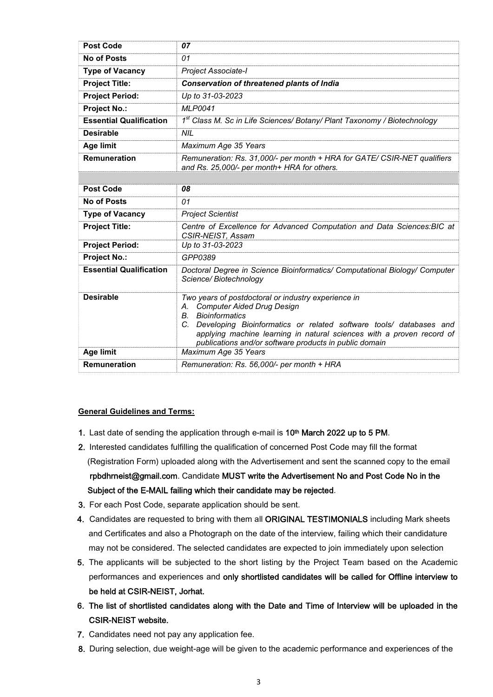| <b>Post Code</b>               | 07                                                                                                                                                                                                                                                                                                                                        |
|--------------------------------|-------------------------------------------------------------------------------------------------------------------------------------------------------------------------------------------------------------------------------------------------------------------------------------------------------------------------------------------|
| <b>No of Posts</b>             | 01                                                                                                                                                                                                                                                                                                                                        |
| <b>Type of Vacancy</b>         | Project Associate-I                                                                                                                                                                                                                                                                                                                       |
| <b>Project Title:</b>          | <b>Conservation of threatened plants of India</b>                                                                                                                                                                                                                                                                                         |
| <b>Project Period:</b>         | Up to 31-03-2023                                                                                                                                                                                                                                                                                                                          |
| <b>Project No.:</b>            | <b>MLP0041</b>                                                                                                                                                                                                                                                                                                                            |
| <b>Essential Qualification</b> | 1st Class M. Sc in Life Sciences/ Botany/ Plant Taxonomy / Biotechnology                                                                                                                                                                                                                                                                  |
| <b>Desirable</b>               | NIL                                                                                                                                                                                                                                                                                                                                       |
| <b>Age limit</b>               | Maximum Age 35 Years                                                                                                                                                                                                                                                                                                                      |
| <b>Remuneration</b>            | Remuneration: Rs. 31,000/- per month + HRA for GATE/ CSIR-NET qualifiers<br>and Rs. 25,000/- per month+ HRA for others.                                                                                                                                                                                                                   |
|                                |                                                                                                                                                                                                                                                                                                                                           |
| <b>Post Code</b>               | 08                                                                                                                                                                                                                                                                                                                                        |
| <b>No of Posts</b>             | 01                                                                                                                                                                                                                                                                                                                                        |
| <b>Type of Vacancy</b>         | <b>Project Scientist</b>                                                                                                                                                                                                                                                                                                                  |
| <b>Project Title:</b>          | Centre of Excellence for Advanced Computation and Data Sciences: BIC at<br>CSIR-NEIST, Assam                                                                                                                                                                                                                                              |
| <b>Project Period:</b>         | Up to 31-03-2023                                                                                                                                                                                                                                                                                                                          |
| <b>Project No.:</b>            | GPP0389                                                                                                                                                                                                                                                                                                                                   |
| <b>Essential Qualification</b> | Doctoral Degree in Science Bioinformatics/ Computational Biology/ Computer<br>Science/Biotechnology                                                                                                                                                                                                                                       |
| <b>Desirable</b>               | Two years of postdoctoral or industry experience in<br><b>Computer Aided Drug Design</b><br>А.<br><b>B.</b> Bioinformatics<br>Developing Bioinformatics or related software tools/ databases and<br>C.<br>applying machine learning in natural sciences with a proven record of<br>publications and/or software products in public domain |
| <b>Age limit</b>               | Maximum Age 35 Years                                                                                                                                                                                                                                                                                                                      |
| <b>Remuneration</b>            | Remuneration: Rs. 56,000/- per month + HRA                                                                                                                                                                                                                                                                                                |

## General Guidelines and Terms:

- 1. Last date of sending the application through e-mail is 10<sup>th</sup> March 2022 up to 5 PM.
- 2. Interested candidates fulfilling the qualification of concerned Post Code may fill the format (Registration Form) uploaded along with the Advertisement and sent the scanned copy to the email rpbdhrneist@gmail.com. Candidate MUST write the Advertisement No and Post Code No in the Subject of the E-MAIL failing which their candidate may be rejected.
- 3. For each Post Code, separate application should be sent.
- 4. Candidates are requested to bring with them all ORIGINAL TESTIMONIALS including Mark sheets and Certificates and also a Photograph on the date of the interview, failing which their candidature may not be considered. The selected candidates are expected to join immediately upon selection
- 5. The applicants will be subjected to the short listing by the Project Team based on the Academic performances and experiences and only shortlisted candidates will be called for Offline interview to be held at CSIR-NEIST, Jorhat.
- 6. The list of shortlisted candidates along with the Date and Time of Interview will be uploaded in the CSIR-NEIST website.
- 7. Candidates need not pay any application fee.
- 8. During selection, due weight-age will be given to the academic performance and experiences of the